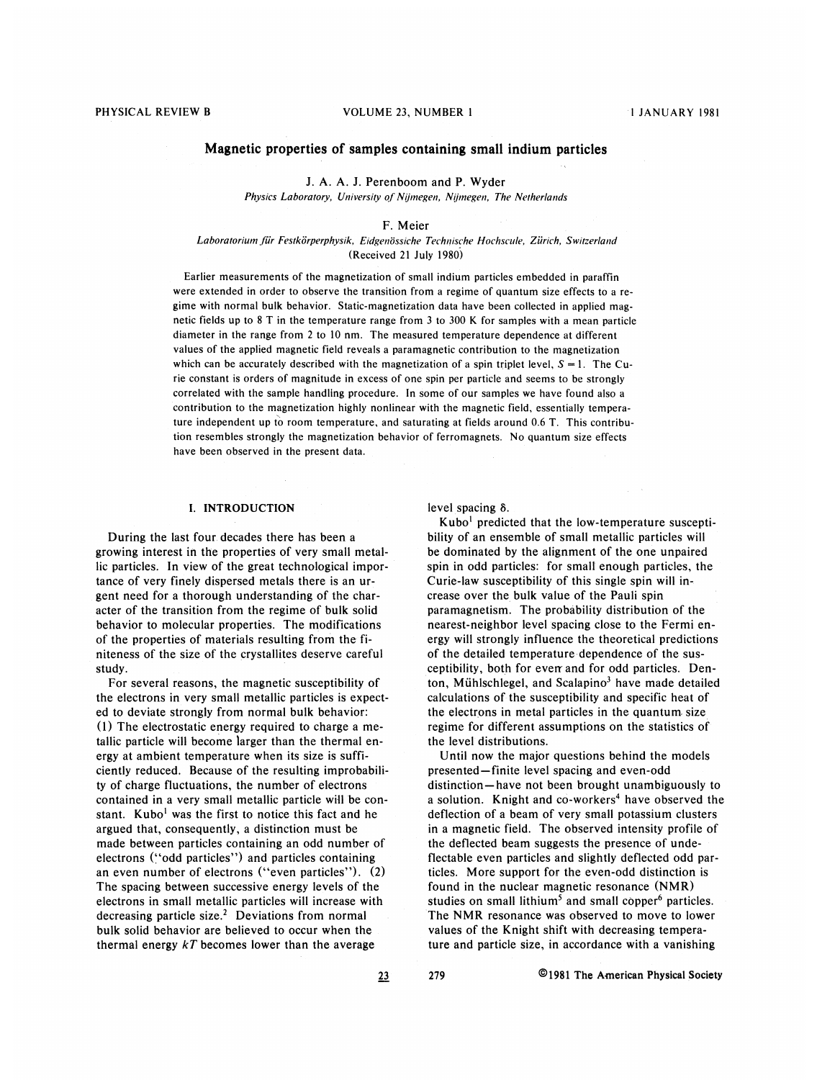# Magnetic properties of samples containing small indium particles

J. A. A. J. Perenboom and P. Wyder Physics Laboratory, University of Nijmegen, Nijmegen, The Netherlands

#### F. Meier

Laboratorium für Festkörperphysik, Eidgenössiche Technische Hochscule, Zürich, Switzerland (Received 21 July 1980)

Earlier measurements of the magnetization of small indium particles embedded in paraffin were extended in order to observe the transition from a regime of quantum size effects to a regime with normal bulk behavior. Static-magnetization data have been collected in applied magnetic fields up to 8 T in the temperature range from 3 to 300 K for samples with a mean particle diameter in the range from 2 to 10 nm. The measured temperature dependence at different values of the applied magnetic field reveals a paramagnetic contribution to the magnetization which can be accurately described with the magnetization of a spin triplet level,  $S = 1$ . The Curie constant is orders of magnitude in excess of one spin per particle and seems to be strongly correlated with the sample handling procedure. In some of our samples we have found also a contribution to the magnetization highly nonlinear with the magnetic field, essentially temperature independent up to room temperature, and saturating at fields around 0.6 T. This contribution resembles strongly the magnetization behavior of ferromagnets. No quantum size effects have been observed in the present data.

### I. INTRODUCTION

During the last four decades there has been a growing interest in the properties of very small metallic particles. In view of the great technological importance of very finely dispersed metals there is an urgent need for a thorough understanding of the character of the transition from the regime of bulk solid behavior to molecular properties. The modifications of the properties of materials resulting from the finiteness of the size of the crystallites deserve careful study.

For several reasons, the magnetic susceptibility of the electrons in very small metallic particles is expected to deviate strongly from normal bulk behavior: (l) The electrostatic energy required to charge a metallic particle will become larger than the thermal energy at ambient temperature when its size is sufficiently reduced. Because of the resulting improbability of charge fluctuations, the number of electrons contained in a very small metallic particle will be constant. Kubo<sup>1</sup> was the first to notice this fact and he argued that, consequently, a distinction must be made between particles containing an odd number of electrons ("odd particles") and particles containing an even number of electrons ("even particles").  $(2)$ The spacing between successive energy levels of the electrons in small metallic particles will increase with decreasing particle size.<sup>2</sup> Deviations from normal bulk solid behavior are believed to occur when the thermal energy  $kT$  becomes lower than the average

level spacing  $\delta$ .

Kubo' predicted that the low-temperature susceptibility of an ensemble of small metallic particles will be dominated by the alignment of the one unpaired spin in odd particles: for small enough particles, the Curie-law susceptibility of this single spin will increase over the bulk value of the Pauli spin paramagnetism. The probability distribution of the nearest-neighbor level spacing close to the Fermi energy will strongly influence the theoretical predictions of the detailed temperature dependence of the susceptibility, both for even and for odd particles. Denton, Mühlschlegel, and Scalapino<sup>3</sup> have made detailed calculations of the susceptibility and specific heat of the electrons in metal particles in the quantum. size regime for different assumptions on the statistics of the level distributions.

Until now the major questions behind the models presented —finite level spacing and even-odd distinction —have not been brought unambiguously to a solution. Knight and co-workers<sup>4</sup> have observed the deflection of a beam of very small potassium clusters in a magnetic field. The observed intensity profile of the deflected beam suggests the presence of undeflectable even particles and slightly deflected odd particles. More support for the even-odd distinction is found in the nuclear magnetic resonance (NMR) studies on small lithium<sup>5</sup> and small copper $6$  particles. The NMR resonance was observed to move to lower values of the Knight shift with decreasing temperature and particle size, in accordance with a vanishing

23 279 01981 The American Physical Society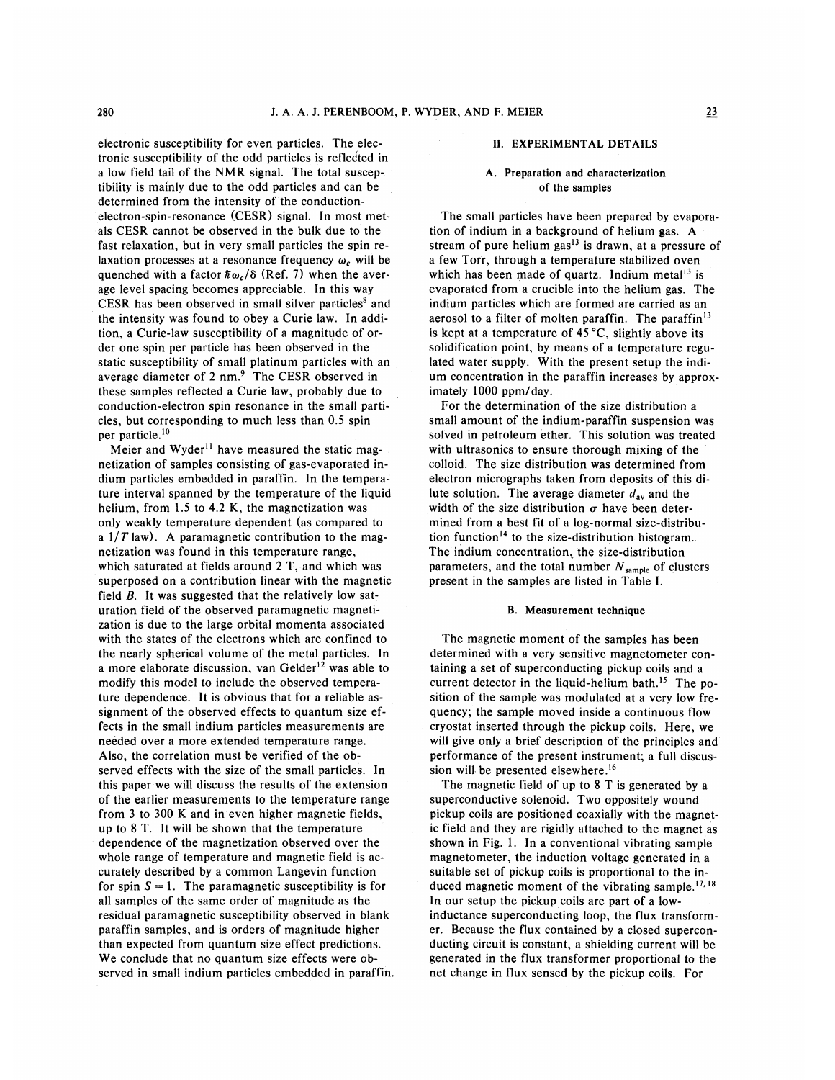electronic susceptibility for even particles. The electronic susceptibility of the odd particles is reflected in a low field tail of the NMR signal. The total susceptibility is mainly due to the odd particles and can be determined from the intensity of the conductionelectron-spin-resonance (CESR) signal. In most metals CESR cannot be observed in the bulk due to the fast relaxation, but in very small particles the spin relaxation processes at a resonance frequency  $\omega_c$  will be quenched with a factor  $\hbar \omega_c / \delta$  (Ref. 7) when the average level spacing becomes appreciable. In this way CESR has been observed in small silver particles' and the intensity was found to obey a Curie law. In addition, a Curie-law susceptibility of a magnitude of order one spin per particle has been observed in the static susceptibility of small platinum particles with an average diameter of 2 nm.<sup>9</sup> The CESR observed in these samples reflected a Curie law, probably due to conduction-electron spin resonance in the small particles, but corresponding to much less than 0.5 spin per particle.<sup>10</sup>

Meier and Wyder<sup>11</sup> have measured the static magnetization of samples consisting of gas-evaporated indium particles embedded in paraffin. In the temperature interval spanned by the temperature of the liquid helium, from 1.5 to 4.2 K, the magnetization was only weakly temperature dependent (as compared to a  $1/T$  law). A paramagnetic contribution to the magnetization was found in this temperature range, which saturated at fields around  $2$  T, and which was superposed on a contribution linear with the magnetic field  $B$ . It was suggested that the relatively low saturation field of the observed paramagnetic magnetization is due to the large orbital momenta associated with the states of the electrons which are confined to the nearly spherical volume of the metal particles. In a more elaborate discussion, van Gelder $12$  was able to modify this model to include the observed temperature dependence. It is obvious that for a reliable assignment of the observed effects to quantum size effects in the small indium particles measurements are needed over a more extended temperature range. Also, the correlation must be verified of the observed effects with the size of the small particles. In this paper we will discuss the results of the extension of the earlier measurements to the temperature range from 3 to 300 K and in even higher magnetic fields, up to 8 T. It will be shown that the temperature dependence of the magnetization observed over the whole range of temperature and magnetic field is accurately described by a common Langevin function for spin  $S = 1$ . The paramagnetic susceptibility is for all samples of the same order of magnitude as the residual paramagnetic susceptibility observed in blank paraffin samples, and is orders of magnitude higher than expected from quantum size effect predictions. We conclude that no quantum size effects were observed in small indium particles embedded in paraffin.

### II. EXPERIMENTAL DETAILS

# A. Preparation and characterization of the samples

The small particles have been prepared by evaporation of indium in a background of helium gas. A stream of pure helium  $gas<sup>13</sup>$  is drawn, at a pressure of a few Torr, through a temperature stabilized oven which has been made of quartz. Indium metal<sup>13</sup> is evaporated from a crucible into the helium gas. The indium particles which are formed are carried as an aerosol to a filter of molten paraffin. The paraffin'3 is kept at a temperature of  $45^{\circ}$ C, slightly above its solidification point, by means of a temperature regulated water supply. With the present setup the indium concentration in the paraffin increases by approximately 1000 ppm/day.

For the determination of the size distribution a small amount of the indium-paraffin suspension was solved in petroleum ether. This solution was treated with ultrasonics to ensure thorough mixing of the colloid. The size distribution was determined from electron micrographs taken from deposits of this dilute solution. The average diameter  $d_{av}$  and the width of the size distribution  $\sigma$  have been determined from a best fit of a log-normal size-distribution function<sup>14</sup> to the size-distribution histogram. The indium concentration, the size-distribution parameters, and the total number  $N_{\text{sample}}$  of clusters present in the samples are listed in Table I.

#### B. Measurement technique

The magnetic moment of the samples has been determined with a very sensitive magnetometer containing a set of superconducting pickup coils and a current detector in the liquid-helium bath.<sup>15</sup> The position of the sample was modulated at a very low frequency; the sample moved inside a continuous flow cryostat inserted through the pickup coils. Here, we will give only a brief description of the principles and performance of the present instrument; a full discussion will be presented elsewhere.<sup>16</sup>

The magnetic field of up to 8 T is generated by a superconductive solenoid. Two oppositely wound pickup coils are positioned coaxially with the magnetic field and they are rigidly attached to the magnet as shown in Fig. 1. In a conventional vibrating sample magnetometer, the induction voltage generated in a suitable set of pickup coils is proportional to the insuitable set of pickup coils is proportional to the induced magnetic moment of the vibrating sample.<sup>17,18</sup> In our setup the pickup coils are part of a lowinductanee supereonducting loop, the flux transformer. Because the flux contained by a closed superconducting circuit is constant, a shielding current will be generated in the flux transformer proportional to the net change in flux sensed by the pickup coils. For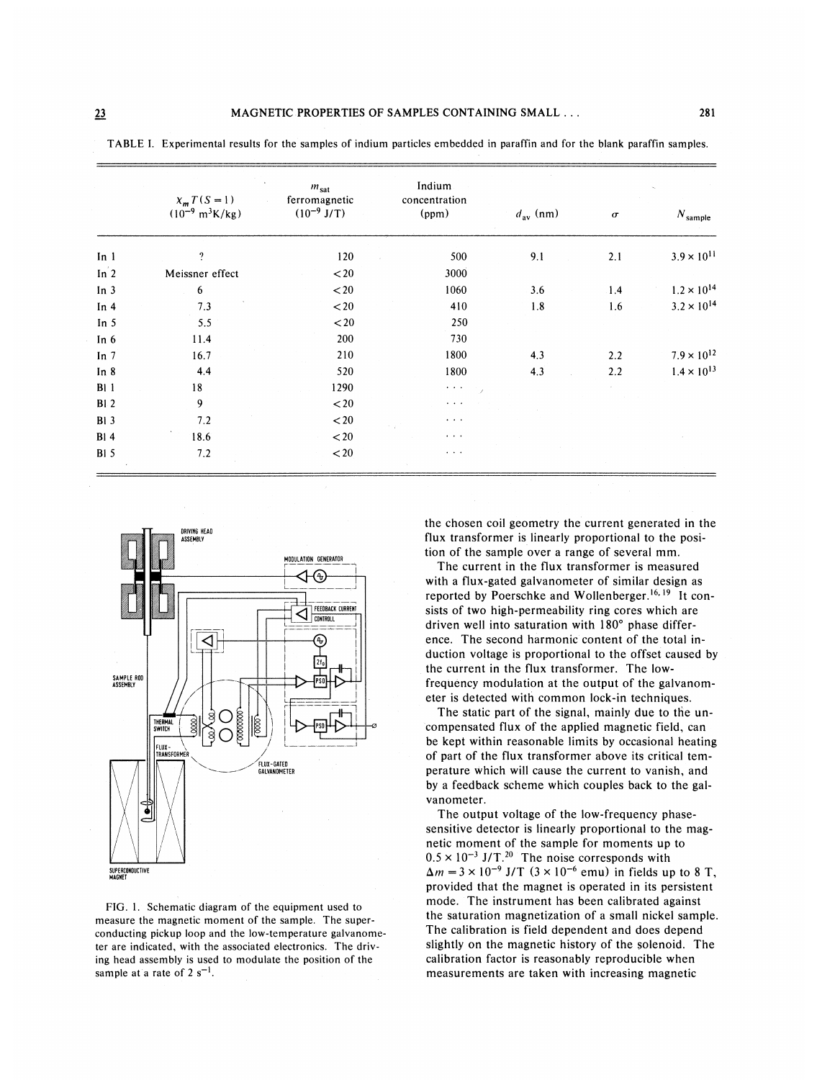|                   | $X_m T(S = 1)$<br>$(10^{-9} \text{ m}^3 \text{K/kg})$ | $m_{\rm sat}$<br>ferromagnetic<br>$(10^{-9}$ J/T) | Indium<br>concentration<br>(ppm)      | $d_{\text{av}}$ (nm) | $\sigma$ | $N_{\text{sample}}$  |
|-------------------|-------------------------------------------------------|---------------------------------------------------|---------------------------------------|----------------------|----------|----------------------|
| In $1$            | $\overline{\mathcal{L}}$                              | 120                                               | 500                                   | 9.1                  | 2.1      | $3.9 \times 10^{11}$ |
| In <sup>'</sup> 2 | Meissner effect                                       | $20$                                              | 3000                                  |                      |          |                      |
| In $3$            | 6                                                     | $20$                                              | 1060                                  | 3.6                  | 1.4      | $1.2 \times 10^{14}$ |
| In $4$            | 7.3                                                   | $20$                                              | 410                                   | 1.8                  | 1.6      | $3.2 \times 10^{14}$ |
| In $5$            | 5.5                                                   | $20$                                              | 250                                   |                      |          |                      |
| In $6$            | 11.4                                                  | 200                                               | 730                                   |                      |          |                      |
| In $7$            | 16.7                                                  | 210                                               | 1800                                  | 4.3                  | 2.2      | $7.9 \times 10^{12}$ |
| In $8$            | 4.4                                                   | 520                                               | 1800                                  | 4.3                  | 2.2      | $1.4 \times 10^{13}$ |
| B11               | 18                                                    | 1290                                              | $\bullet$ , $\bullet$ , $\bullet$     |                      |          |                      |
| B1.2              | 9                                                     | $20$                                              | $\cdots$                              |                      |          |                      |
| BI <sub>3</sub>   | 7.2                                                   | $20$                                              | $\bullet \quad \bullet \quad \bullet$ |                      |          |                      |
| B14               | 18.6                                                  | $20$                                              | $\cdots$                              |                      |          |                      |
| B15               | 7.2                                                   | $\mathbf{<}20$                                    | $\alpha = 0.1$ .                      |                      |          |                      |

TABLE I. Experimental results for the samples of indium particles embedded in paraffin and for the blank paraffin samples.



FIG. 1. Schematic diagram of the equipment used to measure the magnetic moment of the sample. The superconducting pickup loop and the low-temperature galvanometer are indicated, with the associated electronics. The driving head assembly is used to modulate the position of the sample at a rate of  $2 s^{-1}$ .

the chosen coil geometry the current generated in the flux transformer is linearly proportional to the position of the sample over a range of several mm.

The current in the flux transformer is measured with a flux-gated galvanometer of similar design as reported by Poerschke and Wollenberger.<sup>16, 19</sup> It consists of two high-permeability ring cores which are driven well into saturation with 180' phase difference. The second harmonic content of the total induction voltage is proportional to the offset caused by the current in the flux transformer. The lowfrequency modulation at the output of the galvanometer is detected with common lock-in techniques.

The static part of the signal, mainly due to the uncompensated flux of the applied magnetic field, can be kept within reasonable limits by occasional heating of part of the flux transformer above its critical temperature which will cause the current to vanish, and by a feedback scheme which couples back to the galvanometer.

The output voltage of the low-frequency phasesensitive detector is linearly proportional to the magnetic moment of the sample for moments up to  $0.5 \times 10^{-3}$  J/T.<sup>20</sup> The noise corresponds with  $\Delta m = 3 \times 10^{-9}$  J/T  $(3 \times 10^{-6}$  emu) in fields up to 8 T, provided that the magnet is operated in its persistent mode. The instrument has been calibrated against the saturation magnetization of a small nickel sample. The calibration is field dependent and does depend slightly on the magnetic history of the solenoid. The calibration factor is reasonably reproducible when measurements are taken with increasing magnetic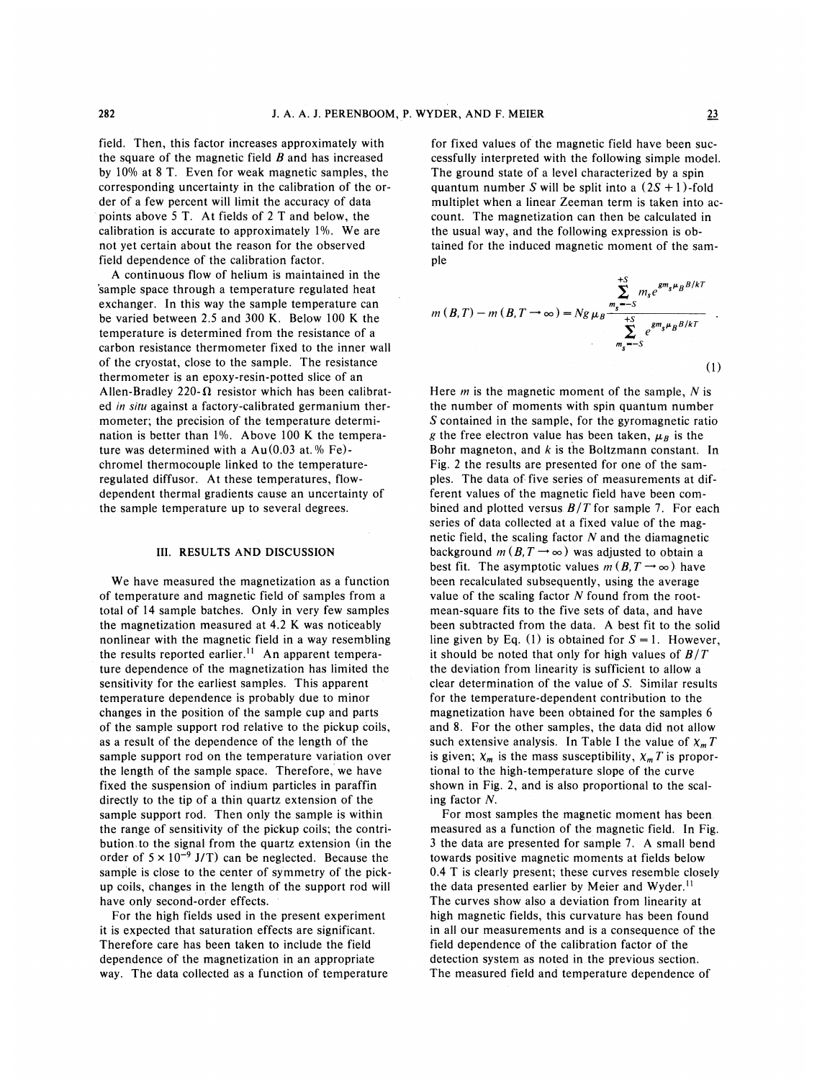field. Then, this factor increases approximately with the square of the magnetic field  $B$  and has increased by 10% at 8 T. Even for weak magnetic samples, the corresponding uncertainty in the calibration of the order of a few percent will limit the accuracy of data points above 5 T. At fields of 2 T and below, the calibration is accurate to approximately 1%. We are not yet certain about the reason for the observed field dependence of the calibration factor.

A continuous flow of helium is maintained in the 'sample space through a temperature regulated heat exchanger. In this way the sample temperature can be varied between 2.5 and 300 K. Below 100 K the temperature is determined from the resistance of a carbon resistance thermometer fixed to the inner wall of the cryostat, close to the sample. The resistance thermometer is an epoxy-resin-potted slice of an Allen-Bradley 220- $\Omega$  resistor which has been calibrated in situ against a factory-calibrated germanium thermometer; the precision of the temperature determination is better than 1%. Above 100 K the temperature was determined with a  $Au(0.03$  at. % Fe)chromel thermocouple linked to the temperatureregulated diffusor. At these temperatures, flowdependent thermal gradients cause an uncertainty of the sample temperature up to several degrees.

### III. RESULTS AND DISCUSSION

We have measured the magnetization as a function of temperature and magnetic field of samples from a total of 14 sample batches. Only in very few samples the magnetization measured at 4.2 K was noticeably nonlinear with the magnetic field in a way resembling the results reported earlier.<sup>11</sup> An apparent temperature dependence of the magnetization has limited the sensitivity for the earliest samples. This apparent temperature dependence is probably due to minor changes in the position of the sample cup and parts of the sample support rod relative to the pickup coils, as a result of the dependence of the length of the sample support rod on the temperature variation over the length of the sample space. Therefore, we have fixed the suspension of indium particles in paraffin directly to the tip of a thin quartz extension of the sample support rod. Then only the sample is within the range of sensitivity of the pickup coils; the contribution, to the signal from the quartz extension (in the order of  $5 \times 10^{-9}$  J/T) can be neglected. Because the sample is close to the center of symmetry of the pickup coils, changes in the length of the support rod will have only second-order effects.

For the high fields used in the present experiment it is expected that saturation effects are significant. Therefore care has been taken to include the field dependence of the magnetization in an appropriate way. The data collected as a function of temperature for fixed values of the magnetic field have been successfully interpreted with the following simple model, The ground state of a level characterized by a spin quantum number S will be split into a  $(2S + 1)$ -fold multiplet when a linear Zeeman term is taken into account. The magnetization can then be calculated in the usual way, and the following expression is obtained for the induced magnetic moment of the sample

$$
m(B,T) - m(B,T \to \infty) = Ng \mu_B \frac{\sum_{m_s=-S}^{+S} m_s e^{gm_s \mu_B B/kT}}{\sum_{m_s=-S}^{+S} e^{gm_s \mu_B B/kT}}
$$
\n(1)

Here  $m$  is the magnetic moment of the sample,  $N$  is the number of moments with spin quantum number S contained in the sample, for the gyromagnetic ratio g the free electron value has been taken,  $\mu_B$  is the Bohr magneton, and  $k$  is the Boltzmann constant. In Fig. 2 the results are presented for one of the samples. The data of five series of measurements at different values of the magnetic field have been combined and plotted versus  $B/T$  for sample 7. For each series of data collected at a fixed value of the magnetic field, the scaling factor  $N$  and the diamagnetic background  $m(B, T \rightarrow \infty)$  was adjusted to obtain a best fit. The asymptotic values  $m (B, T \rightarrow \infty)$  have been recalculated subsequently, using the average value of the scaling factor  $N$  found from the rootmean-square fits to the five sets of data, and have been subtracted from the data. A best fit to the solid line given by Eq. (1) is obtained for  $S = 1$ . However, it should be noted that only for high values of  $B/T$ the deviation from linearity is sufficient to allow a clear determination of the value of S. Similar results for the temperature-dependent contribution to the magnetization have been obtained for the samples 6 and 8. For the other samples, the data did not allow such extensive analysis. In Table I the value of  $X_m T$ is given;  $\chi_m$  is the mass susceptibility,  $\chi_m T$  is proportional to the high-temperature slope of the curve shown in Fig. 2, and is also proportional to the scaling factor N.

For most samples the magnetic moment has been measured as a function of the magnetic field. In Fig. 3 the data are presented for sample 7. A small bend towards positive magnetic moments at fields below 0.4 T is clearly present; these curves resemble closely the data presented earlier by Meier and Wyder.<sup>11</sup> The curves show also a deviation from linearity at high magnetic fields, this curvature has been found in all our measurements and is a consequence of the field dependence of the calibration factor of the detection system as noted in the previous section. The measured field and temperature dependence of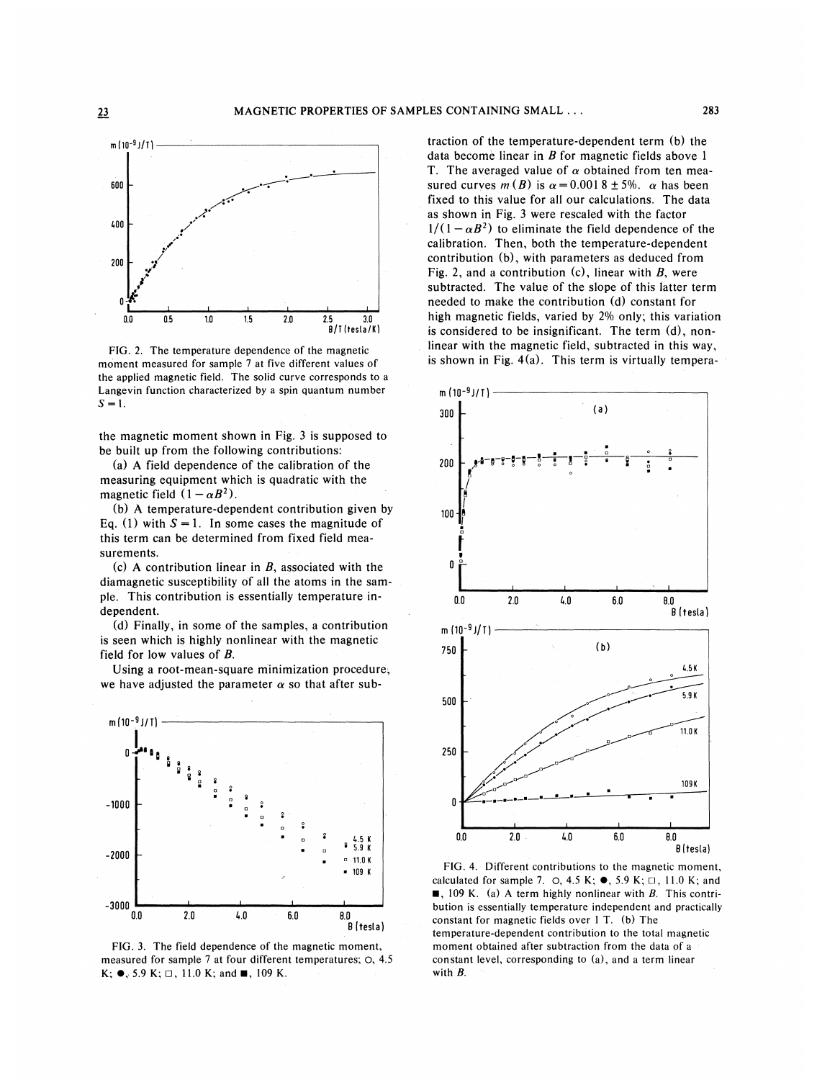

FIG. 2. The temperature dependence of the magnetic moment measured for sample 7 at five different values of the applied magnetic field. The solid curve corresponds to a Langevin function characterized by a spin quantum number  $S = 1$ .

the magnetic moment shown in Fig. 3 is supposed to be built up from the following contributions:

(a) A field dependence of the calibration of the measuring equipment which is quadratic with the magnetic field  $(1 - \alpha B^2)$ .

(b) A temperature-dependent contribution given by Eq. (1) with  $S = 1$ . In some cases the magnitude of this term can be determined from fixed field measurements.

(c) A contribution linear in  $B$ , associated with the diamagnetic susceptibility of all the atoms in the sample. This contribution is essentially temperature independent.

(d) Finally, in some of the samples, a contribution is seen which is highly nonlinear with the magnetic field for low values of B.

Using a root-mean-square minimization procedure, we have adjusted the parameter  $\alpha$  so that after sub-



FIG. 3. The field dependence of the magnetic moment, measured for sample 7 at four different temperatures; O, 4.5  $K; \bullet, 5.9 K; \Box, 11.0 K;$  and  $\blacksquare, 109 K$ .

traction of the temperature-dependent term (b) the data become linear in  $B$  for magnetic fields above 1 T. The averaged value of  $\alpha$  obtained from ten measured curves  $m(B)$  is  $\alpha = 0.0018 \pm 5\%$ .  $\alpha$  has been fixed to this value for all our calculations. The data as shown in Fig. 3 were rescaled with the factor  $1/(1 - \alpha B^2)$  to eliminate the field dependence of the calibration. Then, both the temperature-dependent contribution (b), with parameters as deduced from Fig. 2, and a contribution  $(c)$ , linear with B, were subtracted. The value of the slope of this latter term needed to make the contribution (d) constant for high magnetic fields, varied by 2% only; this variation is considered to be insignificant. The term (d), nonlinear with the magnetic field, subtracted in this way, is shown in Fig. 4(a). This term is virtually tempera-



FIG. 4. Different contributions to the magnetic moment, calculated for sample 7.  $\circ$ , 4.5 K;  $\bullet$ , 5.9 K;  $\Box$ , 11.0 K; and **8**, 109 K. (a) A term highly nonlinear with B. This contribution is essentially temperature independent and practically constant for magnetic fields over <sup>1</sup> T. (b) The temperature-dependent contribution to the total magnetic moment obtained after subtraction from the data of a constant level, corresponding to (a), and a term linear with B.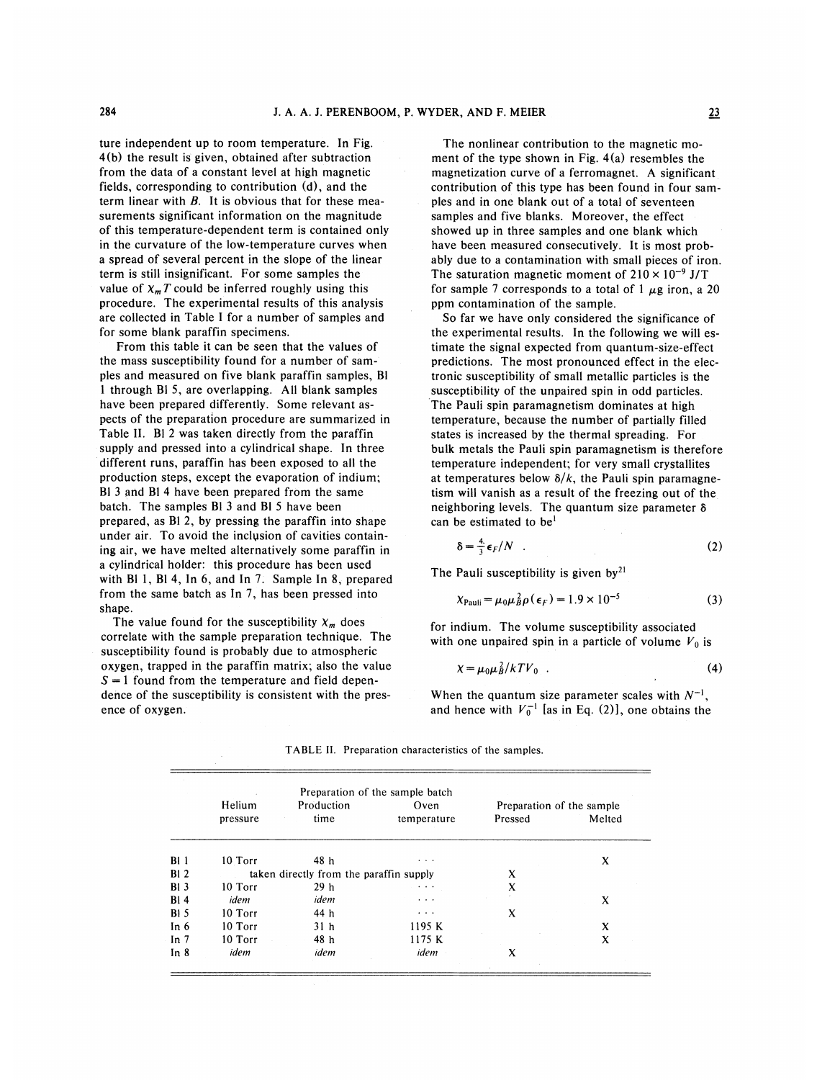ture independent up to room temperature. In Fig. 4(b) the result is given, obtained after subtraction from the data of a constant level at high magnetic fields, corresponding to contribution (d), and the term linear with  $B$ . It is obvious that for these measurements significant information on the magnitude of this temperature-dependent term is contained only in the curvature of the low-temperature curves when a spread of several percent in the slope of the linear term is still insignificant. For some samples the value of  $x_m T$  could be inferred roughly using this procedure. The experimental results of this analysis are collected in Table I for a number of samples and for some blank paraffin specimens.

From this table it can be seen that the values of the mass susceptibility found for a number of samples and measured on five blank paraffin samples, Bl <sup>1</sup> through Bl 5, are overlapping. All blank samples have been prepared differently. Some relevant aspects of the preparation procedure are summarized in Table II. Bl 2 was taken directly from the paraffin supply and pressed into a cylindrical shape. In three different runs, paraffin has been exposed to all the production steps, except the evaporation of indium; Bl 3 and Bl 4 have been prepared from the same batch. The samples B<sub>1</sub> 3 and B<sub>1</sub> 5 have been prepared, as Bl 2, by pressing the paraffin into shape under air. To avoid the inclusion of cavities containing air, we have melted alternatively some paraffin in a cylindrical holder: this procedure has been used with B11, B14, In 6, and In 7. Sample In 8, prepared from the same batch as In 7, has been pressed into shape.

The value found for the susceptibility  $X_m$  does correlate with the sample preparation technique. The susceptibility found is probably due to atmospheric oxygen, trapped in the paraffin matrix; also the value  $S = 1$  found from the temperature and field dependence of the susceptibility is consistent with the presence of oxygen.

The nonlinear contribution to the magnetic moment of the type shown in Fig. 4(a) resembles the magnetization curve of a ferromagnet. A significant contribution of this type has been found in four samples and in one blank out of a total of seventeen samples and five blanks. Moreover, the effect showed up in three samples and one blank which have been measured consecutively. It is most probably due to a contamination with small pieces of iron. The saturation magnetic moment of  $210 \times 10^{-9}$  J/T for sample 7 corresponds to a total of 1  $\mu$ g iron, a 20 ppm contamination of the sample.

So far we have only considered the significance of the experimental results. In the following we will estimate the signal expected from quantum-size-effect predictions. The most pronounced effect in the electronic susceptibility of small metallic particles is the susceptibility of the unpaired spin in odd particles. The Pauli spin paramagnetism dominates at high temperature, because the number of partially filled states is increased by the thermal spreading. For bulk metals the Pauli spin paramagnetism is therefore temperature independent; for very small crystallites at temperatures below  $\delta/k$ , the Pauli spin paramagnetism will vanish as a result of the freezing out of the neighboring levels. The quantum size parameter  $\delta$ can be estimated to be'

$$
\delta = \frac{4}{3} \epsilon_F / N \quad . \tag{2}
$$

The Pauli susceptibility is given  $by<sup>21</sup>$ 

$$
\chi_{\text{Pauli}} = \mu_0 \mu_B^2 \rho(\epsilon_F) = 1.9 \times 10^{-5} \tag{3}
$$

for indium. The volume susceptibility associated with one unpaired spin in a particle of volume  $V_0$  is

$$
\chi = \mu_0 \mu_B^2 / kT V_0 \quad . \tag{4}
$$

When the quantum size parameter scales with  $N^{-1}$ , and hence with  $V_0^{-1}$  [as in Eq. (2)], one obtains the

|        | Helium   | Production                              | Oven        | Preparation of the sample |        |  |
|--------|----------|-----------------------------------------|-------------|---------------------------|--------|--|
|        | pressure | time                                    | temperature | Pressed                   | Melted |  |
| B11    | 10 Torr  | 48 h                                    | $\cdots$    |                           | X      |  |
| B12    |          | taken directly from the paraffin supply | X           |                           |        |  |
| B13    | 10 Torr  | 29 <sub>h</sub>                         |             | X                         |        |  |
| B14    | idem     | idem                                    | $\cdots$    |                           | X      |  |
| B15    | 10 Torr  | 44 h                                    | $\cdots$    | X                         |        |  |
| In $6$ | 10 Torr  | 31 <sub>h</sub>                         | 1195 K      |                           | X      |  |
| In $7$ | 10 Torr  | 48 h                                    | 1175 K      |                           | X      |  |
| In $8$ | idem     | idem                                    | idem        | X                         |        |  |

TABLE II, Preparation characteristics of the samples,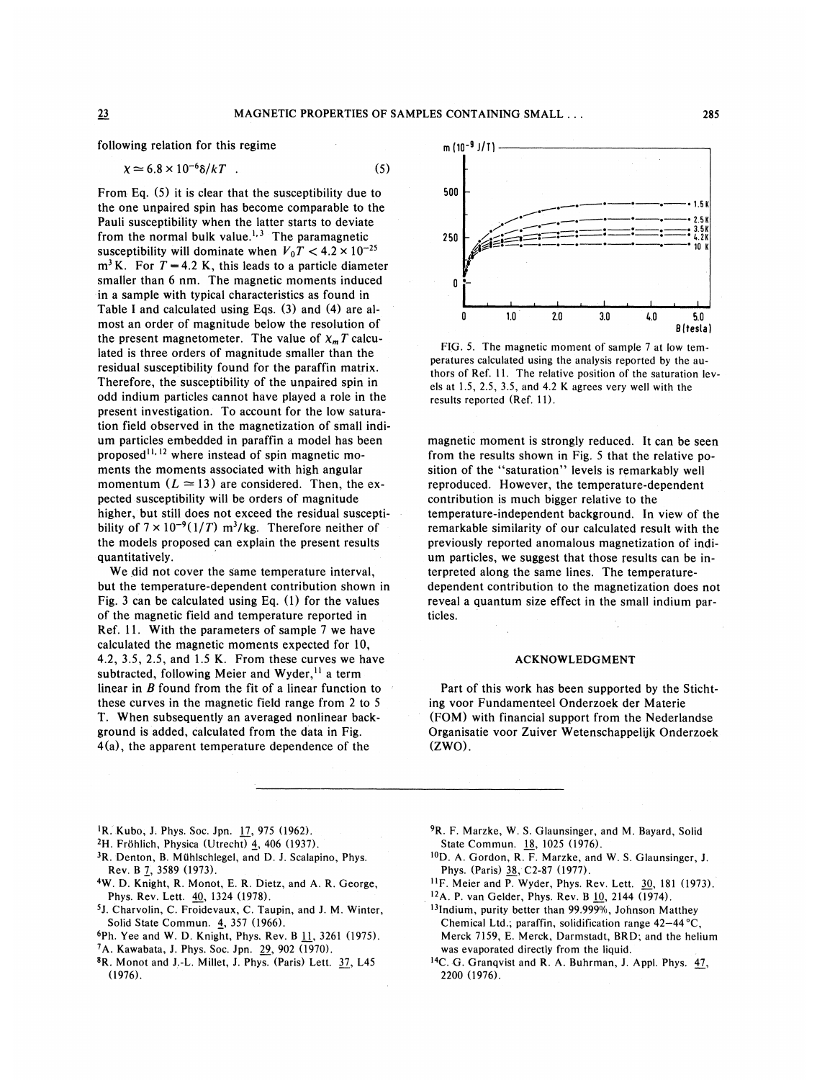following relation for this regime

$$
\chi \simeq 6.8 \times 10^{-6} \delta / kT \quad . \tag{5}
$$

From Eq. (5) it is clear that the susceptibility due to the one unpaired spin has become comparable to the Pauli susceptibility when the latter starts to deviate from the normal bulk value.<sup>1,3</sup> The paramagnet susceptibility will dominate when  $V_0T < 4.2 \times 10^{-25}$  $m<sup>3</sup>$  K. For  $T = 4.2$  K, this leads to a particle diameter smaller than 6 nm. The magnetic moments induced in a sample with typical characteristics as found in Table <sup>1</sup> and calculated using Eqs. (3) and (4) are almost an order of magnitude below the resolution of the present magnetometer. The value of  $\chi_m T$  calculated is three orders of magnitude smaller than the residual susceptibility found for the paraffin matrix. Therefore, the susceptibility of the unpaired spin in odd indium particles cannot have played a role in the present investigation. To account for the low saturation field observed in the magnetization of small indium particles embedded in paraffin a model has been proposed<sup>11, 12</sup> where instead of spin magnetic moments the moments associated with high angular momentum  $(L \approx 13)$  are considered. Then, the expected susceptibility will be orders of magnitude higher, but still does not exceed the residual susceptibility of  $7 \times 10^{-9} (1/T)$  m<sup>3</sup>/kg. Therefore neither of the models proposed can explain the present results quantitatively.

We did not cover the same temperature interval, but the temperature-dependent contribution shown in Fig. 3 can be calculated using Eq. (1) for the values of the magnetic field and temperature reported in Ref. 11. With the parameters of sample 7 we have calculated the magnetic moments expected for 10, 4.2, 3.5, 2.5, and 1.5 K. From these curves we have subtracted, following Meier and Wyder,  $\frac{11}{1}$  a term linear in  $B$  found from the fit of a linear function to these curves in the magnetic field range from 2 to 5 T. When subsequently an averaged nonlinear background is added, calculated from the data in Fig. 4(a), the apparent temperature dependence of the



FIG. 5. The magnetic moment of sample 7 at low temperatures calculated using the analysis reported by the authors of Ref. 11. The relative position of the saturation levels at 1.5, 2.5, 3.5, and 4.2 K agrees very well with the results reported (Ref. 11).

magnetic moment is strongly reduced. It can be seen from the results shown in Fig. 5 that the relative position of the "saturation" levels is remarkably well reproduced. However, the temperature-dependent contribution is much bigger relative to the temperature-independent background. In view of the remarkable similarity of our calculated result with the previously reported anomalous magnetization of indium particles, we suggest that those results can be interpreted along the same lines. The temperaturedependent contribution to the magnetization does not reveal a quantum size effect in the small indium particles.

## ACKNOWLEDGMENT

Part of this work has been supported by the Stichting voor Fundamenteel Onderzoek der Materie (FOM) with financial support from the Nederlandse Organisatie voor Zuiver Wetenschappelijk Onderzoek  $(ZWO)$ .

- <sup>1</sup>R. Kubo, J. Phys. Soc. Jpn. 17, 975 (1962).
- 2H. Frohlich, Physica (Utrecht) 4, 406 (1937).
- <sup>3</sup>R. Denton, B. Mühlschlegel, and D. J. Scalapino, Phys. Rev. B 7, 3589 (1973).
- 4W. D. Knight, R. Monot, E. R. Dietz, and A. R. George, Phys. Rev. Lett. 40, 1324 (1978).
- 5J. Charvolin, C. Froidevaux, C. Taupin, and J. M. Winter, Solid State Commun. 4, 357 (1966).
- 6Ph. Yee and W. D. Knight, Phys. Rev. B  $11$ , 3261 (1975).
- 7A. Kawabata, J. Phys. Soc. Jpn. 29, 902 (1970).
- 8R. Monot and J.-L. Millet, J. Phys. (Paris) Lett. 37, L45 (1976).
- <sup>9</sup>R. F. Marzke, W. S. Glaunsinger, and M. Bayard, Solid State Commun. 18, 1025 (1976).
- <sup>10</sup>D. A. Gordon, R. F. Marzke, and W. S. Glaunsinger, J. Phys. (Paris) 38, C2-87 (1977).
- $^{11}$ F. Meier and P. Wyder, Phys. Rev. Lett.  $30, 181$  (1973).
- $^{12}$ A. P. van Gelder, Phys. Rev. B  $10$ , 2144 (1974).
- <sup>13</sup>Indium, purity better than 99.999%, Johnson Matthe Chemical Ltd.; paraffin, solidification range  $42-44$  °C, Merck 7159, E. Merck, Darmstadt, BRD; and the helium was evaporated directly from the liquid.
- $<sup>14</sup>C$ . G. Granqvist and R. A. Buhrman, J. Appl. Phys.  $47$ ,</sup> 2200 (1976).